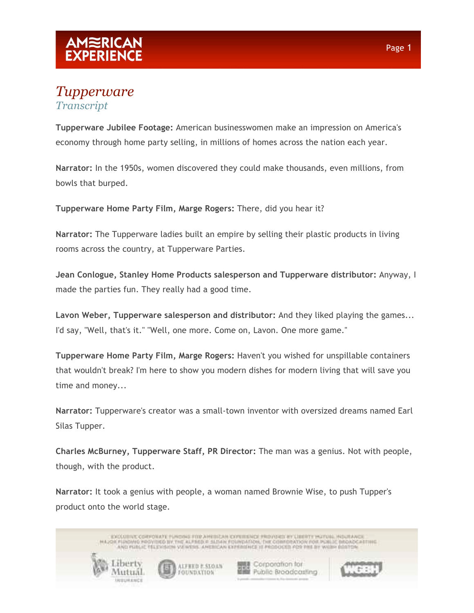#### *Tupperware Transcript*

**Tupperware Jubilee Footage:** American businesswomen make an impression on America's economy through home party selling, in millions of homes across the nation each year.

**Narrator:** In the 1950s, women discovered they could make thousands, even millions, from bowls that burped.

**Tupperware Home Party Film, Marge Rogers:** There, did you hear it?

**Narrator:** The Tupperware ladies built an empire by selling their plastic products in living rooms across the country, at Tupperware Parties.

**Jean Conlogue, Stanley Home Products salesperson and Tupperware distributor:** Anyway, I made the parties fun. They really had a good time.

**Lavon Weber, Tupperware salesperson and distributor:** And they liked playing the games... I'd say, "Well, that's it." "Well, one more. Come on, Lavon. One more game."

**Tupperware Home Party Film, Marge Rogers:** Haven't you wished for unspillable containers that wouldn't break? I'm here to show you modern dishes for modern living that will save you time and money...

**Narrator:** Tupperware's creator was a small-town inventor with oversized dreams named Earl Silas Tupper.

**Charles McBurney, Tupperware Staff, PR Director:** The man was a genius. Not with people, though, with the product.

**Narrator:** It took a genius with people, a woman named Brownie Wise, to push Tupper's product onto the world stage.

ENCEDITIVE CORPONATE FUNDING FOR AMERICAN CONDITIONS FROVIDICE INCLUSION POLITICS, INSURANCE AND PUBLIC TELEVISION VA WENS, ANDECAN EXPERIENCE II PRODUCED FOR THE BY WARM BOSTON

ALFRED E.SIX) UN

FOUNDATION

Libert

Viutual

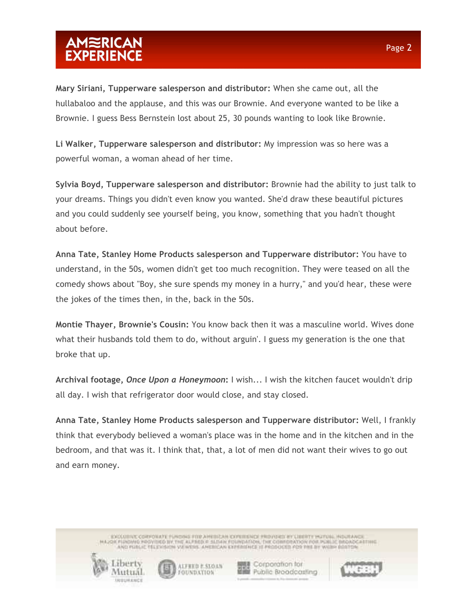**Mary Siriani, Tupperware salesperson and distributor:** When she came out, all the hullabaloo and the applause, and this was our Brownie. And everyone wanted to be like a Brownie. I guess Bess Bernstein lost about 25, 30 pounds wanting to look like Brownie.

**Li Walker, Tupperware salesperson and distributor:** My impression was so here was a powerful woman, a woman ahead of her time.

**Sylvia Boyd, Tupperware salesperson and distributor:** Brownie had the ability to just talk to your dreams. Things you didn't even know you wanted. She'd draw these beautiful pictures and you could suddenly see yourself being, you know, something that you hadn't thought about before.

**Anna Tate, Stanley Home Products salesperson and Tupperware distributor:** You have to understand, in the 50s, women didn't get too much recognition. They were teased on all the comedy shows about "Boy, she sure spends my money in a hurry," and you'd hear, these were the jokes of the times then, in the, back in the 50s.

**Montie Thayer, Brownie's Cousin:** You know back then it was a masculine world. Wives done what their husbands told them to do, without arguin'. I guess my generation is the one that broke that up.

**Archival footage,** *Once Upon a Honeymoon***:** I wish... I wish the kitchen faucet wouldn't drip all day. I wish that refrigerator door would close, and stay closed.

**Anna Tate, Stanley Home Products salesperson and Tupperware distributor:** Well, I frankly think that everybody believed a woman's place was in the home and in the kitchen and in the bedroom, and that was it. I think that, that, a lot of men did not want their wives to go out and earn money.

> ENCEDITIVE CORPONATE FUNDING FOR AMERICAN CONDITIONS FROVIDICE INCLUSION POLITICS, INSURANCE AND PUBLIC TELEVISION VALWERS. AMERICAN EXPERIENCE 12 PRODUCED PDR PHE BY WILDHI BOSTON





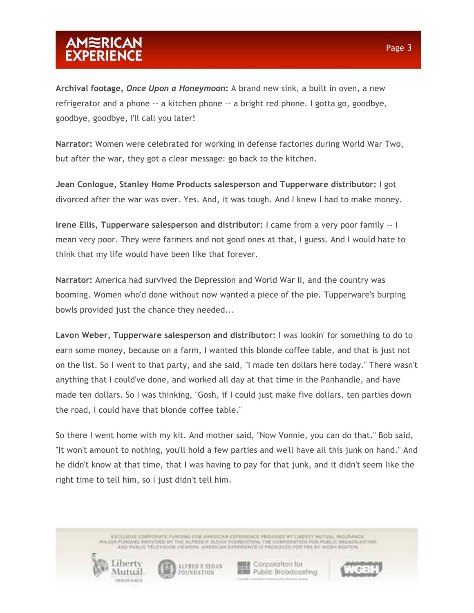**Archival footage,** *Once Upon a Honeymoon***:** A brand new sink, a built in oven, a new refrigerator and a phone -- a kitchen phone -- a bright red phone. I gotta go, goodbye, goodbye, goodbye, I'll call you later!

**Narrator:** Women were celebrated for working in defense factories during World War Two, but after the war, they got a clear message: go back to the kitchen.

**Jean Conlogue, Stanley Home Products salesperson and Tupperware distributor:** I got divorced after the war was over. Yes. And, it was tough. And I knew I had to make money.

**Irene Ellis, Tupperware salesperson and distributor:** I came from a very poor family -- I mean very poor. They were farmers and not good ones at that, I guess. And I would hate to think that my life would have been like that forever.

**Narrator:** America had survived the Depression and World War II, and the country was booming. Women who'd done without now wanted a piece of the pie. Tupperware's burping bowls provided just the chance they needed...

**Lavon Weber, Tupperware salesperson and distributor:** I was lookin' for something to do to earn some money, because on a farm, I wanted this blonde coffee table, and that is just not on the list. So I went to that party, and she said, "I made ten dollars here today." There wasn't anything that I could've done, and worked all day at that time in the Panhandle, and have made ten dollars. So I was thinking, "Gosh, if I could just make five dollars, ten parties down the road, I could have that blonde coffee table."

So there I went home with my kit. And mother said, "Now Vonnie, you can do that." Bob said, "It won't amount to nothing, you'll hold a few parties and we'll have all this junk on hand." And he didn't know at that time, that I was having to pay for that junk, and it didn't seem like the right time to tell him, so I just didn't tell him.

> ENCEDITIVE CORPONATE FUNDING FOR AMERICAN CONDITIONS FROVIDICE INCLUSION POLITICS, INSURANCE AND PUBLIC TELEVISION VALWERS. AMERICAN EXPERIENCE 12 PRODUCED PDR PHE BY WILDHI BOSTON





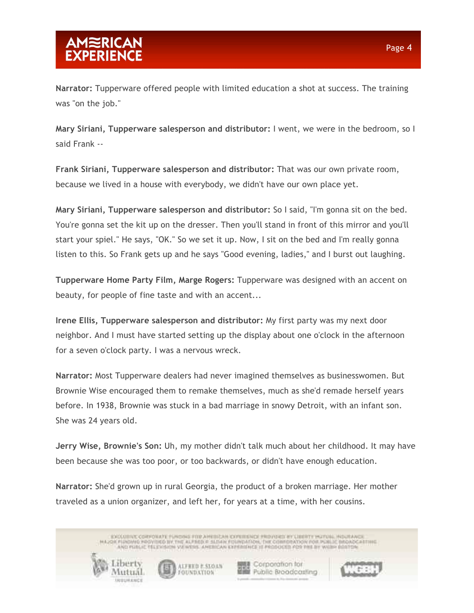**Narrator:** Tupperware offered people with limited education a shot at success. The training was "on the job."

**Mary Siriani, Tupperware salesperson and distributor:** I went, we were in the bedroom, so I said Frank --

**Frank Siriani, Tupperware salesperson and distributor:** That was our own private room, because we lived in a house with everybody, we didn't have our own place yet.

**Mary Siriani, Tupperware salesperson and distributor:** So I said, "I'm gonna sit on the bed. You're gonna set the kit up on the dresser. Then you'll stand in front of this mirror and you'll start your spiel." He says, "OK." So we set it up. Now, I sit on the bed and I'm really gonna listen to this. So Frank gets up and he says "Good evening, ladies," and I burst out laughing.

**Tupperware Home Party Film, Marge Rogers:** Tupperware was designed with an accent on beauty, for people of fine taste and with an accent...

**Irene Ellis, Tupperware salesperson and distributor:** My first party was my next door neighbor. And I must have started setting up the display about one o'clock in the afternoon for a seven o'clock party. I was a nervous wreck.

**Narrator:** Most Tupperware dealers had never imagined themselves as businesswomen. But Brownie Wise encouraged them to remake themselves, much as she'd remade herself years before. In 1938, Brownie was stuck in a bad marriage in snowy Detroit, with an infant son. She was 24 years old.

**Jerry Wise, Brownie's Son:** Uh, my mother didn't talk much about her childhood. It may have been because she was too poor, or too backwards, or didn't have enough education.

**Narrator:** She'd grown up in rural Georgia, the product of a broken marriage. Her mother traveled as a union organizer, and left her, for years at a time, with her cousins.

> ENCEDITIVE CORPONATE FUNDING FOR AMERICAN CONDITIONS FROVIDICE INCLUSION POLITICS, INSURANCE AND PUBLIC TELEVISION VA WENS, ANDECAN EXPERIENCE II PRODUCED FOR THE BY WARM BOSTON

> > ALFRED E.SIX) UN

FOUNDATION

**関連 Corporation for** 

**Hill Public Broodcosting** 

Labert

Viutual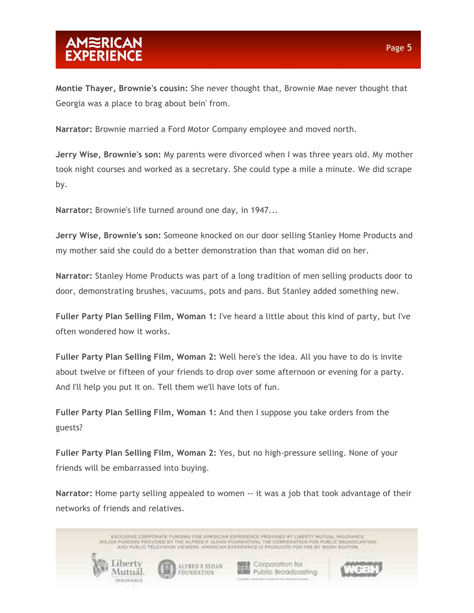**Montie Thayer, Brownie's cousin:** She never thought that, Brownie Mae never thought that Georgia was a place to brag about bein' from.

**Narrator:** Brownie married a Ford Motor Company employee and moved north.

**Jerry Wise, Brownie's son:** My parents were divorced when I was three years old. My mother took night courses and worked as a secretary. She could type a mile a minute. We did scrape by.

**Narrator:** Brownie's life turned around one day, in 1947...

**Jerry Wise, Brownie's son:** Someone knocked on our door selling Stanley Home Products and my mother said she could do a better demonstration than that woman did on her.

**Narrator:** Stanley Home Products was part of a long tradition of men selling products door to door, demonstrating brushes, vacuums, pots and pans. But Stanley added something new.

**Fuller Party Plan Selling Film, Woman 1:** I've heard a little about this kind of party, but I've often wondered how it works.

**Fuller Party Plan Selling Film, Woman 2:** Well here's the idea. All you have to do is invite about twelve or fifteen of your friends to drop over some afternoon or evening for a party. And I'll help you put it on. Tell them we'll have lots of fun.

**Fuller Party Plan Selling Film, Woman 1:** And then I suppose you take orders from the guests?

**Fuller Party Plan Selling Film, Woman 2:** Yes, but no high-pressure selling. None of your friends will be embarrassed into buying.

**Narrator:** Home party selling appealed to women -- it was a job that took advantage of their networks of friends and relatives.

ENCEDITIVE CORPONATE FUNDING FOR AMERICAN CONDITIONS FROVIDICE INCLUSION POLITICS, INSURANCE AND PUBLIC TELEVISION VA WENS, ANDECAN EXPERIENCE II PRODUCED FOR THE BY WARM BOSTON Labert **関連 Corporation for** ALFRED E.SIX) UN **Hill Public Broodcasting** Viutual FOUNDATION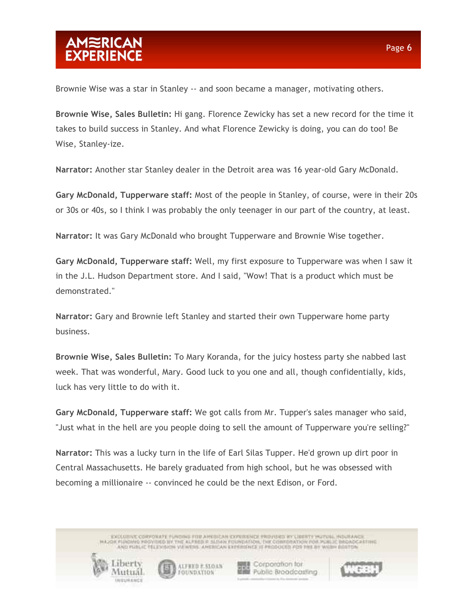Brownie Wise was a star in Stanley -- and soon became a manager, motivating others.

**Brownie Wise, Sales Bulletin:** Hi gang. Florence Zewicky has set a new record for the time it takes to build success in Stanley. And what Florence Zewicky is doing, you can do too! Be Wise, Stanley-ize.

**Narrator:** Another star Stanley dealer in the Detroit area was 16 year-old Gary McDonald.

**Gary McDonald, Tupperware staff:** Most of the people in Stanley, of course, were in their 20s or 30s or 40s, so I think I was probably the only teenager in our part of the country, at least.

**Narrator:** It was Gary McDonald who brought Tupperware and Brownie Wise together.

**Gary McDonald, Tupperware staff:** Well, my first exposure to Tupperware was when I saw it in the J.L. Hudson Department store. And I said, "Wow! That is a product which must be demonstrated."

**Narrator:** Gary and Brownie left Stanley and started their own Tupperware home party business.

**Brownie Wise, Sales Bulletin:** To Mary Koranda, for the juicy hostess party she nabbed last week. That was wonderful, Mary. Good luck to you one and all, though confidentially, kids, luck has very little to do with it.

**Gary McDonald, Tupperware staff:** We got calls from Mr. Tupper's sales manager who said, "Just what in the hell are you people doing to sell the amount of Tupperware you're selling?"

**Narrator:** This was a lucky turn in the life of Earl Silas Tupper. He'd grown up dirt poor in Central Massachusetts. He barely graduated from high school, but he was obsessed with becoming a millionaire -- convinced he could be the next Edison, or Ford.

> ENCEDITIVE CORPONATE FUNDING FOR AMERICAN CONDITIONS FROVIDICE INCLUSION POLITICS, INSURANCE AND PUBLIC TELEVISION VA WENS, ANDECAN EXPERIENCE II PRODUCED FOR THE BY WARM BOSTON



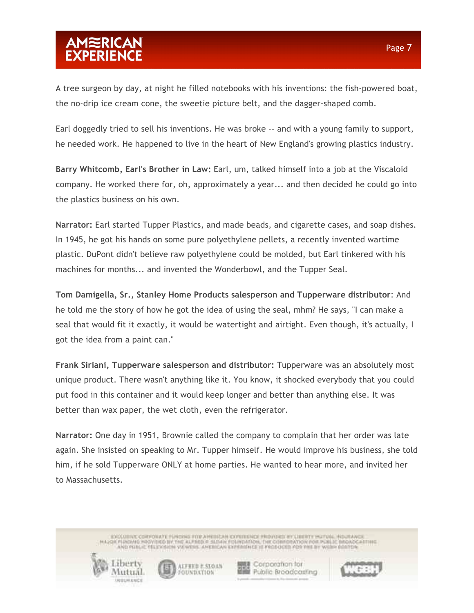A tree surgeon by day, at night he filled notebooks with his inventions: the fish-powered boat, the no-drip ice cream cone, the sweetie picture belt, and the dagger-shaped comb.

Earl doggedly tried to sell his inventions. He was broke -- and with a young family to support, he needed work. He happened to live in the heart of New England's growing plastics industry.

**Barry Whitcomb, Earl's Brother in Law:** Earl, um, talked himself into a job at the Viscaloid company. He worked there for, oh, approximately a year... and then decided he could go into the plastics business on his own.

**Narrator:** Earl started Tupper Plastics, and made beads, and cigarette cases, and soap dishes. In 1945, he got his hands on some pure polyethylene pellets, a recently invented wartime plastic. DuPont didn't believe raw polyethylene could be molded, but Earl tinkered with his machines for months... and invented the Wonderbowl, and the Tupper Seal.

**Tom Damigella, Sr., Stanley Home Products salesperson and Tupperware distributor**: And he told me the story of how he got the idea of using the seal, mhm? He says, "I can make a seal that would fit it exactly, it would be watertight and airtight. Even though, it's actually, I got the idea from a paint can."

**Frank Siriani, Tupperware salesperson and distributor:** Tupperware was an absolutely most unique product. There wasn't anything like it. You know, it shocked everybody that you could put food in this container and it would keep longer and better than anything else. It was better than wax paper, the wet cloth, even the refrigerator.

**Narrator:** One day in 1951, Brownie called the company to complain that her order was late again. She insisted on speaking to Mr. Tupper himself. He would improve his business, she told him, if he sold Tupperware ONLY at home parties. He wanted to hear more, and invited her to Massachusetts.

> ENCEDITIVE CORPONATE FUNDING FOR AMERICAN CONDITIONS FROVIDICE INCLUSION POLITICS, INSURANCE AND PUBLIC TELEVISION VALWERS. AMERICAN EXPERIENCE 12 PRODUCED PDR PHE BY WILDHI BOSTON



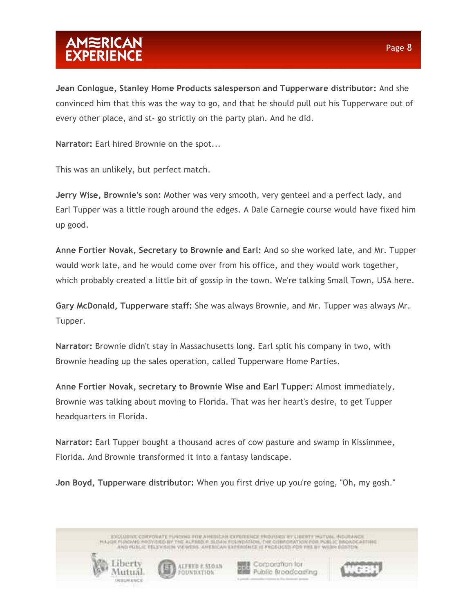**Jean Conlogue, Stanley Home Products salesperson and Tupperware distributor:** And she convinced him that this was the way to go, and that he should pull out his Tupperware out of every other place, and st- go strictly on the party plan. And he did.

**Narrator:** Earl hired Brownie on the spot...

This was an unlikely, but perfect match.

**Jerry Wise, Brownie's son:** Mother was very smooth, very genteel and a perfect lady, and Earl Tupper was a little rough around the edges. A Dale Carnegie course would have fixed him up good.

**Anne Fortier Novak, Secretary to Brownie and Earl:** And so she worked late, and Mr. Tupper would work late, and he would come over from his office, and they would work together, which probably created a little bit of gossip in the town. We're talking Small Town, USA here.

**Gary McDonald, Tupperware staff:** She was always Brownie, and Mr. Tupper was always Mr. Tupper.

**Narrator:** Brownie didn't stay in Massachusetts long. Earl split his company in two, with Brownie heading up the sales operation, called Tupperware Home Parties.

**Anne Fortier Novak, secretary to Brownie Wise and Earl Tupper:** Almost immediately, Brownie was talking about moving to Florida. That was her heart's desire, to get Tupper headquarters in Florida.

**Narrator:** Earl Tupper bought a thousand acres of cow pasture and swamp in Kissimmee, Florida. And Brownie transformed it into a fantasy landscape.

**Jon Boyd, Tupperware distributor:** When you first drive up you're going, "Oh, my gosh."

ENCEDITIVE CORPONATE FUNDING FOR AMERICAN CONDITIONS FROVIDICE INCLUSION POLITICS, INSURANCE AND PUBLIC TELEVISION VA WENS, ANDECAN EXPERIENCE II PRODUCED FOR THE BY WARM BOSTON



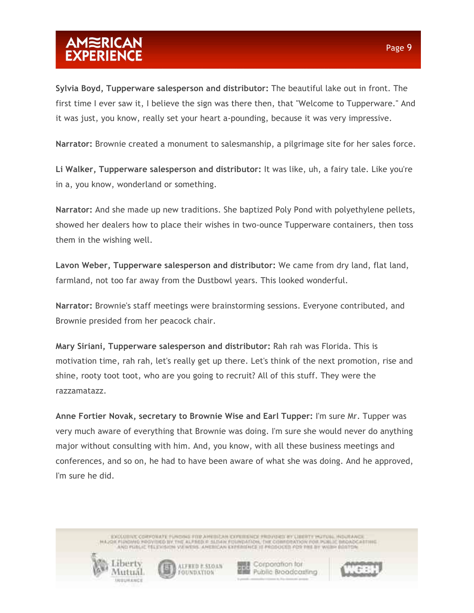**Sylvia Boyd, Tupperware salesperson and distributor:** The beautiful lake out in front. The first time I ever saw it, I believe the sign was there then, that "Welcome to Tupperware." And it was just, you know, really set your heart a-pounding, because it was very impressive.

**Narrator:** Brownie created a monument to salesmanship, a pilgrimage site for her sales force.

**Li Walker, Tupperware salesperson and distributor:** It was like, uh, a fairy tale. Like you're in a, you know, wonderland or something.

**Narrator:** And she made up new traditions. She baptized Poly Pond with polyethylene pellets, showed her dealers how to place their wishes in two-ounce Tupperware containers, then toss them in the wishing well.

**Lavon Weber, Tupperware salesperson and distributor:** We came from dry land, flat land, farmland, not too far away from the Dustbowl years. This looked wonderful.

**Narrator:** Brownie's staff meetings were brainstorming sessions. Everyone contributed, and Brownie presided from her peacock chair.

**Mary Siriani, Tupperware salesperson and distributor:** Rah rah was Florida. This is motivation time, rah rah, let's really get up there. Let's think of the next promotion, rise and shine, rooty toot toot, who are you going to recruit? All of this stuff. They were the razzamatazz.

**Anne Fortier Novak, secretary to Brownie Wise and Earl Tupper:** I'm sure Mr. Tupper was very much aware of everything that Brownie was doing. I'm sure she would never do anything major without consulting with him. And, you know, with all these business meetings and conferences, and so on, he had to have been aware of what she was doing. And he approved, I'm sure he did.

> ENCEDITIVE CORPONATE FUNDING FOR AMERICAN CONDITIONS FROVIDICE INCLUSION POLITICS, INSURANCE AND PUBLIC TELEVISION VALWERS. AMERICAN EXPERIENCE 12 PRODUCED PDR PHE BY WILDHI BOSTON



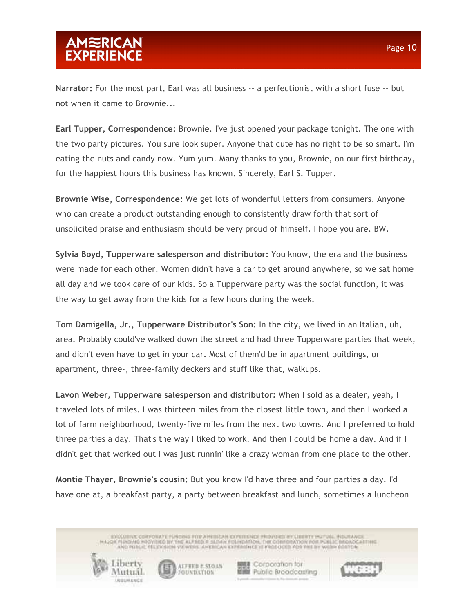**Narrator:** For the most part, Earl was all business -- a perfectionist with a short fuse -- but not when it came to Brownie...

**Earl Tupper, Correspondence:** Brownie. I've just opened your package tonight. The one with the two party pictures. You sure look super. Anyone that cute has no right to be so smart. I'm eating the nuts and candy now. Yum yum. Many thanks to you, Brownie, on our first birthday, for the happiest hours this business has known. Sincerely, Earl S. Tupper.

**Brownie Wise, Correspondence:** We get lots of wonderful letters from consumers. Anyone who can create a product outstanding enough to consistently draw forth that sort of unsolicited praise and enthusiasm should be very proud of himself. I hope you are. BW.

**Sylvia Boyd, Tupperware salesperson and distributor:** You know, the era and the business were made for each other. Women didn't have a car to get around anywhere, so we sat home all day and we took care of our kids. So a Tupperware party was the social function, it was the way to get away from the kids for a few hours during the week.

**Tom Damigella, Jr., Tupperware Distributor's Son:** In the city, we lived in an Italian, uh, area. Probably could've walked down the street and had three Tupperware parties that week, and didn't even have to get in your car. Most of them'd be in apartment buildings, or apartment, three-, three-family deckers and stuff like that, walkups.

**Lavon Weber, Tupperware salesperson and distributor:** When I sold as a dealer, yeah, I traveled lots of miles. I was thirteen miles from the closest little town, and then I worked a lot of farm neighborhood, twenty-five miles from the next two towns. And I preferred to hold three parties a day. That's the way I liked to work. And then I could be home a day. And if I didn't get that worked out I was just runnin' like a crazy woman from one place to the other.

**Montie Thayer, Brownie's cousin:** But you know I'd have three and four parties a day. I'd have one at, a breakfast party, a party between breakfast and lunch, sometimes a luncheon

> ENCEDITIVE CORPONATE FUNDING FOR AMERICAN CONDITIONS FROVIDICE INCLUSION POLITICS, INSURANCE AND PUBLIC TELEVISION VA WENS, ANDECAN EXPERIENCE II PRODUCED FOR THE BY WARM BOSTON

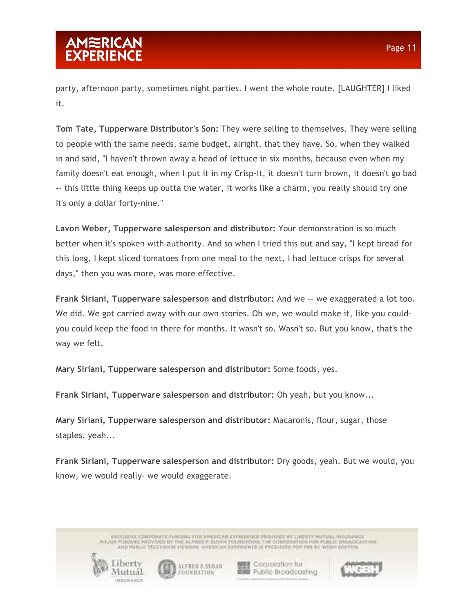party, afternoon party, sometimes night parties. I went the whole route. [LAUGHTER] I liked it.

**Tom Tate, Tupperware Distributor's Son:** They were selling to themselves. They were selling to people with the same needs, same budget, alright, that they have. So, when they walked in and said, "I haven't thrown away a head of lettuce in six months, because even when my family doesn't eat enough, when I put it in my Crisp-It, it doesn't turn brown, it doesn't go bad -- this little thing keeps up outta the water, it works like a charm, you really should try one it's only a dollar forty-nine."

**Lavon Weber, Tupperware salesperson and distributor:** Your demonstration is so much better when it's spoken with authority. And so when I tried this out and say, "I kept bread for this long, I kept sliced tomatoes from one meal to the next, I had lettuce crisps for several days," then you was more, was more effective.

**Frank Siriani, Tupperware salesperson and distributor:** And we -- we exaggerated a lot too. We did. We got carried away with our own stories. Oh we, we would make it, like you couldyou could keep the food in there for months. It wasn't so. Wasn't so. But you know, that's the way we felt.

**Mary Siriani, Tupperware salesperson and distributor:** Some foods, yes.

**Frank Siriani, Tupperware salesperson and distributor:** Oh yeah, but you know...

**Mary Siriani, Tupperware salesperson and distributor:** Macaronis, flour, sugar, those staples, yeah...

**Frank Siriani, Tupperware salesperson and distributor:** Dry goods, yeah. But we would, you know, we would really- we would exaggerate.

> ENCEDITIVE CORPONATE FUNDING FOR AMERICAN CONDITIONS FROVIDICE INCLUSION POLITICS, INSURANCE AND PUBLIC TELEVISION VALWERS. AMERICAN EXPERIENCE 12 PRODUCED PDR PHE BY WILDHI BOSTON



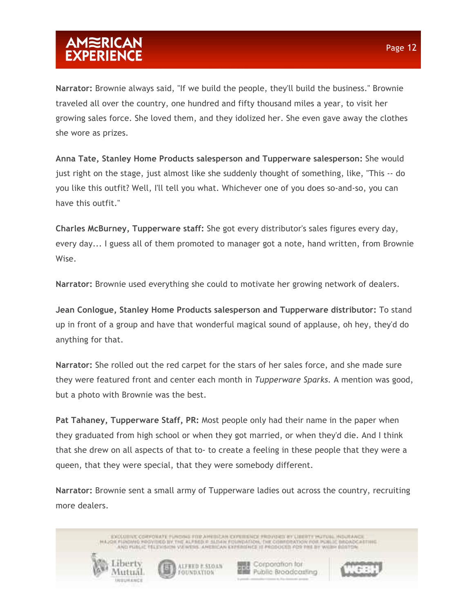**Narrator:** Brownie always said, "If we build the people, they'll build the business." Brownie traveled all over the country, one hundred and fifty thousand miles a year, to visit her growing sales force. She loved them, and they idolized her. She even gave away the clothes she wore as prizes.

**Anna Tate, Stanley Home Products salesperson and Tupperware salesperson:** She would just right on the stage, just almost like she suddenly thought of something, like, "This -- do you like this outfit? Well, I'll tell you what. Whichever one of you does so-and-so, you can have this outfit."

**Charles McBurney, Tupperware staff:** She got every distributor's sales figures every day, every day... I guess all of them promoted to manager got a note, hand written, from Brownie Wise.

**Narrator:** Brownie used everything she could to motivate her growing network of dealers.

**Jean Conlogue, Stanley Home Products salesperson and Tupperware distributor:** To stand up in front of a group and have that wonderful magical sound of applause, oh hey, they'd do anything for that.

**Narrator:** She rolled out the red carpet for the stars of her sales force, and she made sure they were featured front and center each month in *Tupperware Sparks.* A mention was good, but a photo with Brownie was the best.

**Pat Tahaney, Tupperware Staff, PR:** Most people only had their name in the paper when they graduated from high school or when they got married, or when they'd die. And I think that she drew on all aspects of that to- to create a feeling in these people that they were a queen, that they were special, that they were somebody different.

**Narrator:** Brownie sent a small army of Tupperware ladies out across the country, recruiting more dealers.

ENCEDITIVE CORPONATE FUNDING FOR AMERICAN CONDITIONS FROVIDICE INCLUSION POLITICS, INSURANCE AND PUBLIC TELEVISION VA WENS, ANDECAN EXPERIENCE II PRODUCED FOR THE BY WARM BOSTON

ALFRED E.SIX) UN

FOUNDATION

Laberty

Viutual

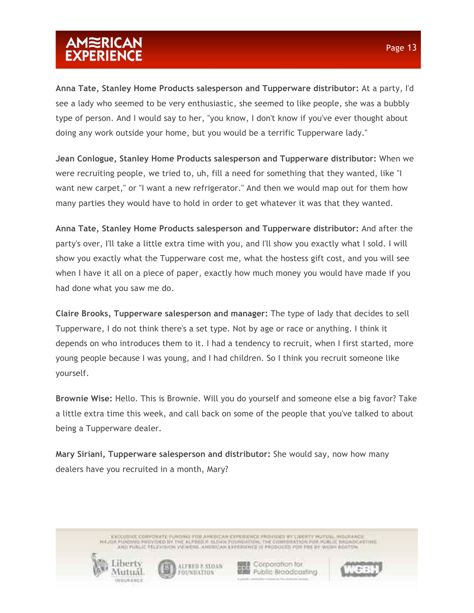**Anna Tate, Stanley Home Products salesperson and Tupperware distributor:** At a party, I'd see a lady who seemed to be very enthusiastic, she seemed to like people, she was a bubbly type of person. And I would say to her, "you know, I don't know if you've ever thought about doing any work outside your home, but you would be a terrific Tupperware lady."

**Jean Conlogue, Stanley Home Products salesperson and Tupperware distributor:** When we were recruiting people, we tried to, uh, fill a need for something that they wanted, like "I want new carpet," or "I want a new refrigerator." And then we would map out for them how many parties they would have to hold in order to get whatever it was that they wanted.

**Anna Tate, Stanley Home Products salesperson and Tupperware distributor:** And after the party's over, I'll take a little extra time with you, and I'll show you exactly what I sold. I will show you exactly what the Tupperware cost me, what the hostess gift cost, and you will see when I have it all on a piece of paper, exactly how much money you would have made if you had done what you saw me do.

**Claire Brooks, Tupperware salesperson and manager:** The type of lady that decides to sell Tupperware, I do not think there's a set type. Not by age or race or anything. I think it depends on who introduces them to it. I had a tendency to recruit, when I first started, more young people because I was young, and I had children. So I think you recruit someone like yourself.

**Brownie Wise:** Hello. This is Brownie. Will you do yourself and someone else a big favor? Take a little extra time this week, and call back on some of the people that you've talked to about being a Tupperware dealer.

**Mary Siriani, Tupperware salesperson and distributor:** She would say, now how many dealers have you recruited in a month, Mary?

> ENCEDITIVE CORPONATE FUNDING FOR AMERICAN CONDITIONS FROVIDICE INCLUSION POLITICS, INSURANCE AND PUBLIC TELEVISION VA WENS, ANDECAN EXPERIENCE II PRODUCED FOR THE BY WARM BOSTON



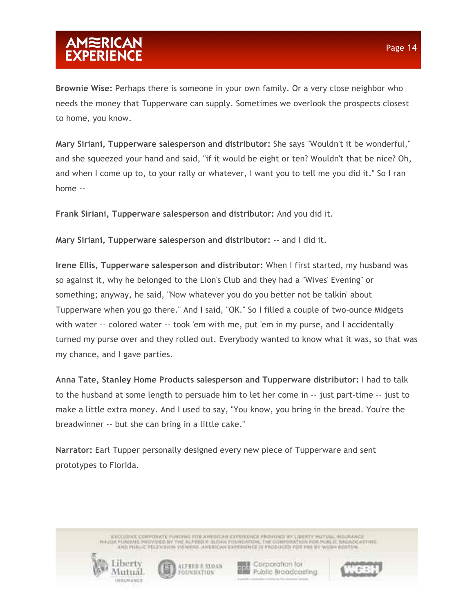**Brownie Wise:** Perhaps there is someone in your own family. Or a very close neighbor who needs the money that Tupperware can supply. Sometimes we overlook the prospects closest to home, you know.

**Mary Siriani, Tupperware salesperson and distributor:** She says "Wouldn't it be wonderful," and she squeezed your hand and said, "if it would be eight or ten? Wouldn't that be nice? Oh, and when I come up to, to your rally or whatever, I want you to tell me you did it." So I ran home --

**Frank Siriani, Tupperware salesperson and distributor:** And you did it.

**Mary Siriani, Tupperware salesperson and distributor:** -- and I did it.

**Irene Ellis, Tupperware salesperson and distributor:** When I first started, my husband was so against it, why he belonged to the Lion's Club and they had a "Wives' Evening" or something; anyway, he said, "Now whatever you do you better not be talkin' about Tupperware when you go there." And I said, "OK." So I filled a couple of two-ounce Midgets with water -- colored water -- took 'em with me, put 'em in my purse, and I accidentally turned my purse over and they rolled out. Everybody wanted to know what it was, so that was my chance, and I gave parties.

**Anna Tate, Stanley Home Products salesperson and Tupperware distributor:** I had to talk to the husband at some length to persuade him to let her come in -- just part-time -- just to make a little extra money. And I used to say, "You know, you bring in the bread. You're the breadwinner -- but she can bring in a little cake."

**Narrator:** Earl Tupper personally designed every new piece of Tupperware and sent prototypes to Florida.

> ENCEDITIVE CORPONATE FUNDING FOR AMERICAN CONDITIONS FROVIDICE INCLUSION POLITICS, INSURANCE AND PUBLIC TELEVISION VA WENS, ANDECAN EXPERIENCE II PRODUCED FOR THE BY WARM BOSTON



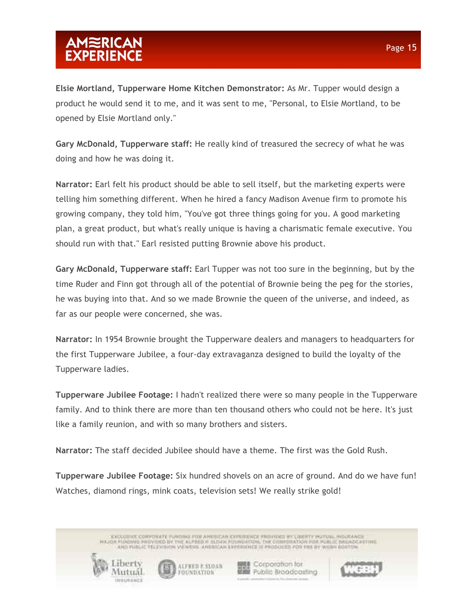opened by Elsie Mortland only."

**Gary McDonald, Tupperware staff:** He really kind of treasured the secrecy of what he was doing and how he was doing it.

**Narrator:** Earl felt his product should be able to sell itself, but the marketing experts were telling him something different. When he hired a fancy Madison Avenue firm to promote his growing company, they told him, "You've got three things going for you. A good marketing plan, a great product, but what's really unique is having a charismatic female executive. You should run with that." Earl resisted putting Brownie above his product.

**Gary McDonald, Tupperware staff:** Earl Tupper was not too sure in the beginning, but by the time Ruder and Finn got through all of the potential of Brownie being the peg for the stories, he was buying into that. And so we made Brownie the queen of the universe, and indeed, as far as our people were concerned, she was.

**Narrator:** In 1954 Brownie brought the Tupperware dealers and managers to headquarters for the first Tupperware Jubilee, a four-day extravaganza designed to build the loyalty of the Tupperware ladies.

**Tupperware Jubilee Footage:** I hadn't realized there were so many people in the Tupperware family. And to think there are more than ten thousand others who could not be here. It's just like a family reunion, and with so many brothers and sisters.

**Narrator:** The staff decided Jubilee should have a theme. The first was the Gold Rush.

**Tupperware Jubilee Footage:** Six hundred shovels on an acre of ground. And do we have fun! Watches, diamond rings, mink coats, television sets! We really strike gold!

> ENCEDITIVE CORPONATE FUNDING FOR AMERICAN CONDITIONS FROVIDICE INCLUSION POLITICS, INSURANCE AND PUBLIC TELEVISION VA WENS, AMERICAN EXPERIENCE III PRODUCED FOR THE BY WARM BOSTON



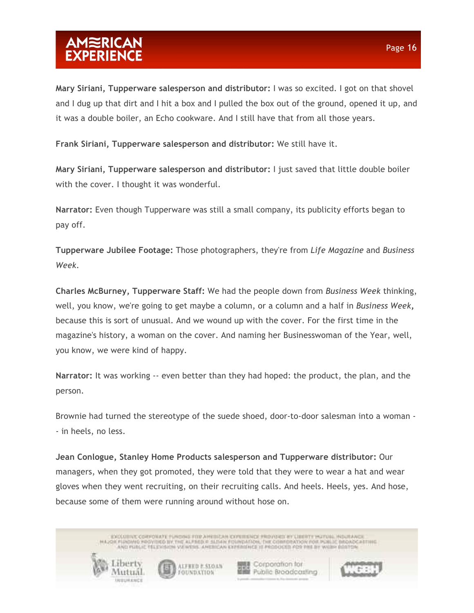**Mary Siriani, Tupperware salesperson and distributor:** I was so excited. I got on that shovel and I dug up that dirt and I hit a box and I pulled the box out of the ground, opened it up, and it was a double boiler, an Echo cookware. And I still have that from all those years.

**Frank Siriani, Tupperware salesperson and distributor:** We still have it.

**Mary Siriani, Tupperware salesperson and distributor:** I just saved that little double boiler with the cover. I thought it was wonderful.

**Narrator:** Even though Tupperware was still a small company, its publicity efforts began to pay off.

**Tupperware Jubilee Footage:** Those photographers, they're from *Life Magazine* and *Business Week.*

**Charles McBurney, Tupperware Staff:** We had the people down from *Business Week* thinking, well, you know, we're going to get maybe a column, or a column and a half in *Business Week***,** because this is sort of unusual. And we wound up with the cover. For the first time in the magazine's history, a woman on the cover. And naming her Businesswoman of the Year, well, you know, we were kind of happy.

**Narrator:** It was working -- even better than they had hoped: the product, the plan, and the person.

Brownie had turned the stereotype of the suede shoed, door-to-door salesman into a woman - - in heels, no less.

**Jean Conlogue, Stanley Home Products salesperson and Tupperware distributor:** Our managers, when they got promoted, they were told that they were to wear a hat and wear gloves when they went recruiting, on their recruiting calls. And heels. Heels, yes. And hose, because some of them were running around without hose on.

> ENCEDITIVE CORPONATE FUNDING FOR AMERICAN CONDITIONS FROVIDICE INCLUSION POLITICS, INSURANCE AND PUBLIC TELEVISION VA WENS, AMERICAN EXPERIENCE III PRODUCED FOR THE BY WARM BOSTON

> > ALFRED E.SIX) UN

FOUNDATION

**関連 Corporation for** 

**Hill Public Broodcosting** 

Labert

Viutual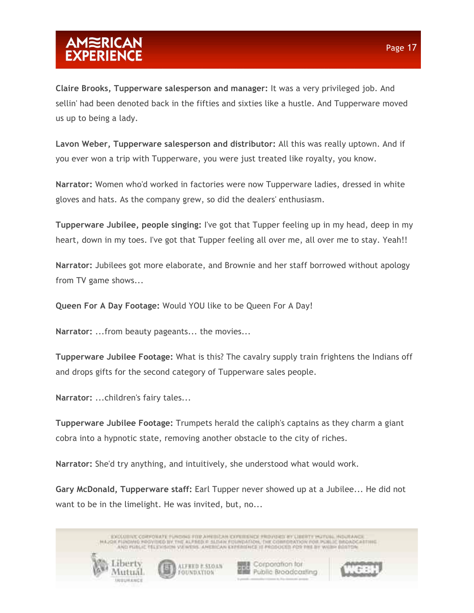**Claire Brooks, Tupperware salesperson and manager:** It was a very privileged job. And sellin' had been denoted back in the fifties and sixties like a hustle. And Tupperware moved us up to being a lady.

**Lavon Weber, Tupperware salesperson and distributor:** All this was really uptown. And if you ever won a trip with Tupperware, you were just treated like royalty, you know.

**Narrator:** Women who'd worked in factories were now Tupperware ladies, dressed in white gloves and hats. As the company grew, so did the dealers' enthusiasm.

**Tupperware Jubilee, people singing:** I've got that Tupper feeling up in my head, deep in my heart, down in my toes. I've got that Tupper feeling all over me, all over me to stay. Yeah!!

**Narrator:** Jubilees got more elaborate, and Brownie and her staff borrowed without apology from TV game shows...

**Queen For A Day Footage:** Would YOU like to be Queen For A Day!

**Narrator:** ...from beauty pageants... the movies...

**Tupperware Jubilee Footage:** What is this? The cavalry supply train frightens the Indians off and drops gifts for the second category of Tupperware sales people.

**Narrator:** ...children's fairy tales...

**Tupperware Jubilee Footage:** Trumpets herald the caliph's captains as they charm a giant cobra into a hypnotic state, removing another obstacle to the city of riches.

**Narrator:** She'd try anything, and intuitively, she understood what would work.

**Gary McDonald, Tupperware staff:** Earl Tupper never showed up at a Jubilee... He did not want to be in the limelight. He was invited, but, no...

ENCEDITIVE CORPONATE FUNDING FOR AMERICAN CONDITIONS FROVIDICE INCLUSION POLITICS, INSURANCE AND PUBLIC TELEVISION VA WENS, AMERICAN EXPERIENCE III PRODUCED FOR THE BY WARM BOSTON Labert **関連 Corporation for** ALFRED E.SIX) UN **Hill Public Broodcosting** Viutual FOUNDATION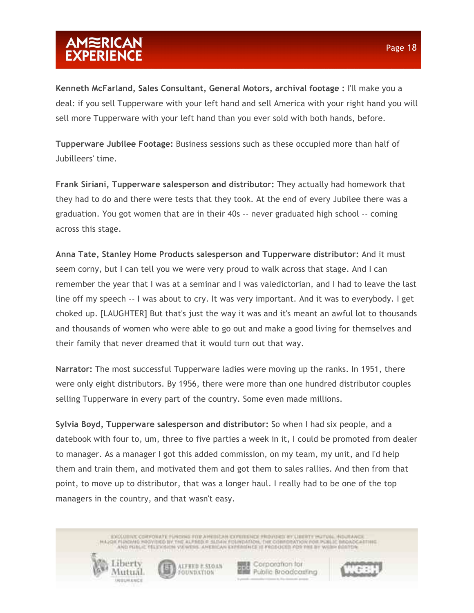**Kenneth McFarland, Sales Consultant, General Motors, archival footage :** I'll make you a deal: if you sell Tupperware with your left hand and sell America with your right hand you will sell more Tupperware with your left hand than you ever sold with both hands, before.

**Tupperware Jubilee Footage:** Business sessions such as these occupied more than half of Jubilleers' time.

**Frank Siriani, Tupperware salesperson and distributor:** They actually had homework that they had to do and there were tests that they took. At the end of every Jubilee there was a graduation. You got women that are in their 40s -- never graduated high school -- coming across this stage.

**Anna Tate, Stanley Home Products salesperson and Tupperware distributor:** And it must seem corny, but I can tell you we were very proud to walk across that stage. And I can remember the year that I was at a seminar and I was valedictorian, and I had to leave the last line off my speech -- I was about to cry. It was very important. And it was to everybody. I get choked up. [LAUGHTER] But that's just the way it was and it's meant an awful lot to thousands and thousands of women who were able to go out and make a good living for themselves and their family that never dreamed that it would turn out that way.

**Narrator:** The most successful Tupperware ladies were moving up the ranks. In 1951, there were only eight distributors. By 1956, there were more than one hundred distributor couples selling Tupperware in every part of the country. Some even made millions.

**Sylvia Boyd, Tupperware salesperson and distributor:** So when I had six people, and a datebook with four to, um, three to five parties a week in it, I could be promoted from dealer to manager. As a manager I got this added commission, on my team, my unit, and I'd help them and train them, and motivated them and got them to sales rallies. And then from that point, to move up to distributor, that was a longer haul. I really had to be one of the top managers in the country, and that wasn't easy.

> ENCEDITIVE CORPONATE FUNDING FOR AMERICAN CONDITIONS FROVIDICE INCLUSION POLITICS, INSURANCE AND PUBLIC TELEVISION VA WENS, AMERICAN EXPERIENCE III PRODUCED FOR THE BY WARM BOSTON

ALFRED E.SIX) UN FOUNDATION

Labert

Viutual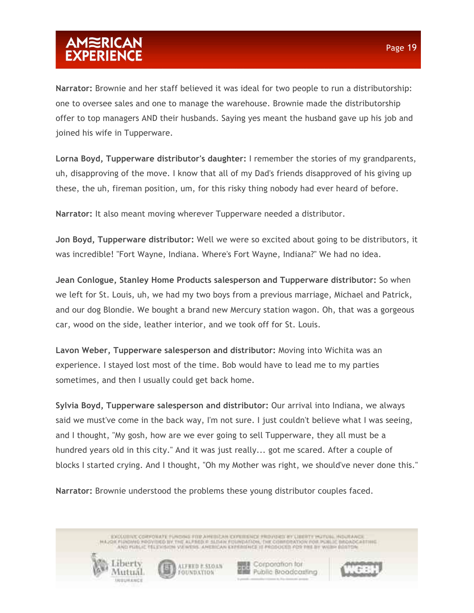**Narrator:** Brownie and her staff believed it was ideal for two people to run a distributorship: one to oversee sales and one to manage the warehouse. Brownie made the distributorship offer to top managers AND their husbands. Saying yes meant the husband gave up his job and joined his wife in Tupperware.

**Lorna Boyd, Tupperware distributor's daughter:** I remember the stories of my grandparents, uh, disapproving of the move. I know that all of my Dad's friends disapproved of his giving up these, the uh, fireman position, um, for this risky thing nobody had ever heard of before.

**Narrator:** It also meant moving wherever Tupperware needed a distributor.

**Jon Boyd, Tupperware distributor:** Well we were so excited about going to be distributors, it was incredible! "Fort Wayne, Indiana. Where's Fort Wayne, Indiana?" We had no idea.

**Jean Conlogue, Stanley Home Products salesperson and Tupperware distributor:** So when we left for St. Louis, uh, we had my two boys from a previous marriage, Michael and Patrick, and our dog Blondie. We bought a brand new Mercury station wagon. Oh, that was a gorgeous car, wood on the side, leather interior, and we took off for St. Louis.

**Lavon Weber, Tupperware salesperson and distributor:** Moving into Wichita was an experience. I stayed lost most of the time. Bob would have to lead me to my parties sometimes, and then I usually could get back home.

**Sylvia Boyd, Tupperware salesperson and distributor:** Our arrival into Indiana, we always said we must've come in the back way, I'm not sure. I just couldn't believe what I was seeing, and I thought, "My gosh, how are we ever going to sell Tupperware, they all must be a hundred years old in this city." And it was just really... got me scared. After a couple of blocks I started crying. And I thought, "Oh my Mother was right, we should've never done this."

**Narrator:** Brownie understood the problems these young distributor couples faced.

ALFRED E.SIX) UN

FOUNDATION

Laberty

Viutual

ENCEDITIVE CORPONATE FUNDING FOR AMERICAN CONDITIONS FROVIDICE INCLUSION POLITICS, INSURANCE AND PUBLIC TELEVISION VA WENS, AMERICAN EXPERIENCE III PRODUCED FOR THE BY WARM BOSTON

**関連 Corporation for** 

**Hill Public Broodcosting**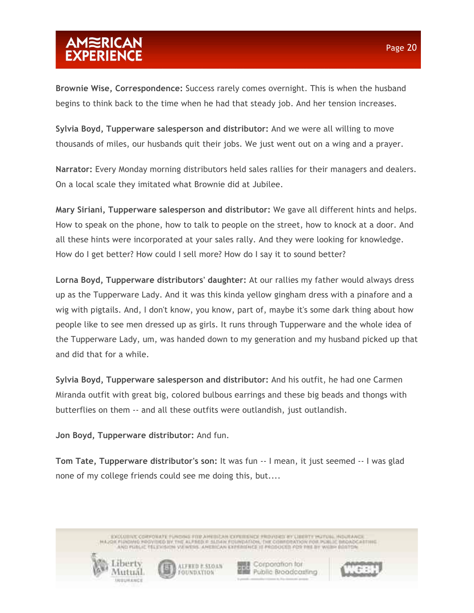**Brownie Wise, Correspondence:** Success rarely comes overnight. This is when the husband begins to think back to the time when he had that steady job. And her tension increases.

**Sylvia Boyd, Tupperware salesperson and distributor:** And we were all willing to move thousands of miles, our husbands quit their jobs. We just went out on a wing and a prayer.

**Narrator:** Every Monday morning distributors held sales rallies for their managers and dealers. On a local scale they imitated what Brownie did at Jubilee.

**Mary Siriani, Tupperware salesperson and distributor:** We gave all different hints and helps. How to speak on the phone, how to talk to people on the street, how to knock at a door. And all these hints were incorporated at your sales rally. And they were looking for knowledge. How do I get better? How could I sell more? How do I say it to sound better?

**Lorna Boyd, Tupperware distributors' daughter:** At our rallies my father would always dress up as the Tupperware Lady. And it was this kinda yellow gingham dress with a pinafore and a wig with pigtails. And, I don't know, you know, part of, maybe it's some dark thing about how people like to see men dressed up as girls. It runs through Tupperware and the whole idea of the Tupperware Lady, um, was handed down to my generation and my husband picked up that and did that for a while.

**Sylvia Boyd, Tupperware salesperson and distributor:** And his outfit, he had one Carmen Miranda outfit with great big, colored bulbous earrings and these big beads and thongs with butterflies on them -- and all these outfits were outlandish, just outlandish.

**Jon Boyd, Tupperware distributor:** And fun.

**Tom Tate, Tupperware distributor's son:** It was fun -- I mean, it just seemed -- I was glad none of my college friends could see me doing this, but....

> ENCEDITIVE CORPONATE FUNDING FOR AMERICAN CONDITIONS FROVIDICE INCLUSION POLITICS, INSURANCE AND PUBLIC TELEVISION VALWERS. AMERICAN EXPERIENCE 12 PRODUCED PDR PHE BY WILDHI BOSTON





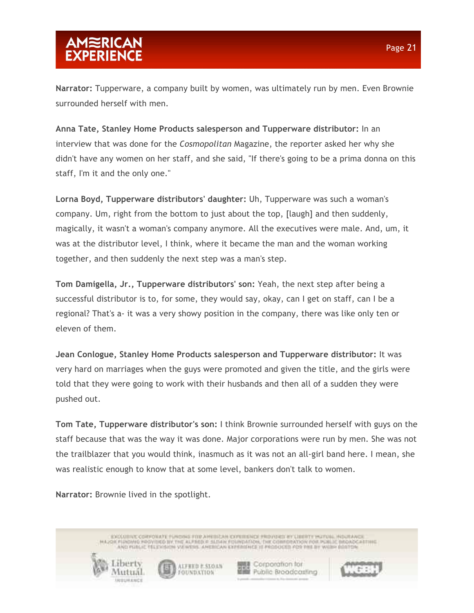**Narrator:** Tupperware, a company built by women, was ultimately run by men. Even Brownie surrounded herself with men.

**Anna Tate, Stanley Home Products salesperson and Tupperware distributor:** In an interview that was done for the *Cosmopolitan* Magazine, the reporter asked her why she didn't have any women on her staff, and she said, "If there's going to be a prima donna on this staff, I'm it and the only one."

**Lorna Boyd, Tupperware distributors' daughter:** Uh, Tupperware was such a woman's company. Um, right from the bottom to just about the top, [laugh] and then suddenly, magically, it wasn't a woman's company anymore. All the executives were male. And, um, it was at the distributor level, I think, where it became the man and the woman working together, and then suddenly the next step was a man's step.

**Tom Damigella, Jr., Tupperware distributors' son:** Yeah, the next step after being a successful distributor is to, for some, they would say, okay, can I get on staff, can I be a regional? That's a- it was a very showy position in the company, there was like only ten or eleven of them.

**Jean Conlogue, Stanley Home Products salesperson and Tupperware distributor:** It was very hard on marriages when the guys were promoted and given the title, and the girls were told that they were going to work with their husbands and then all of a sudden they were pushed out.

**Tom Tate, Tupperware distributor's son:** I think Brownie surrounded herself with guys on the staff because that was the way it was done. Major corporations were run by men. She was not the trailblazer that you would think, inasmuch as it was not an all-girl band here. I mean, she was realistic enough to know that at some level, bankers don't talk to women.

**Narrator:** Brownie lived in the spotlight.

**Libert** 

Viutual

ENCEDITIVE CORPONATE FUNDING FOR AMERICAN CONDITIONS FROVIDICE INCLUSION POLITICS, INSURANCE AND PUBLIC TELEVISION VA WENS, AMERICAN EXPERIENCE III PRODUCED FOR THE BY WARM BOSTON

ALFRED E.SIX) UN

FOUNDATION

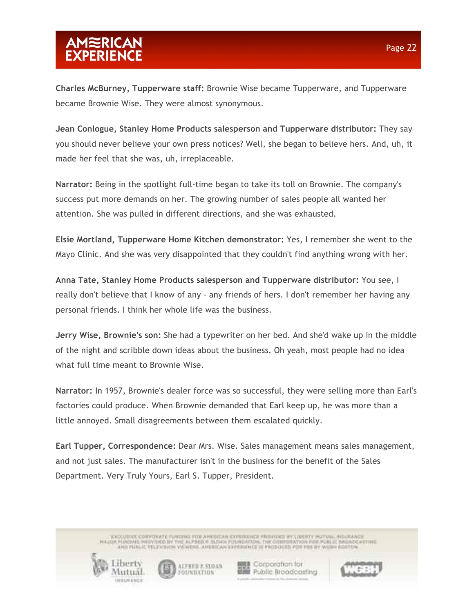**Charles McBurney, Tupperware staff:** Brownie Wise became Tupperware, and Tupperware became Brownie Wise. They were almost synonymous.

**Jean Conlogue, Stanley Home Products salesperson and Tupperware distributor:** They say you should never believe your own press notices? Well, she began to believe hers. And, uh, it made her feel that she was, uh, irreplaceable.

**Narrator:** Being in the spotlight full-time began to take its toll on Brownie. The company's success put more demands on her. The growing number of sales people all wanted her attention. She was pulled in different directions, and she was exhausted.

**Elsie Mortland, Tupperware Home Kitchen demonstrator:** Yes, I remember she went to the Mayo Clinic. And she was very disappointed that they couldn't find anything wrong with her.

**Anna Tate, Stanley Home Products salesperson and Tupperware distributor:** You see, I really don't believe that I know of any - any friends of hers. I don't remember her having any personal friends. I think her whole life was the business.

**Jerry Wise, Brownie's son:** She had a typewriter on her bed. And she'd wake up in the middle of the night and scribble down ideas about the business. Oh yeah, most people had no idea what full time meant to Brownie Wise.

**Narrator:** In 1957, Brownie's dealer force was so successful, they were selling more than Earl's factories could produce. When Brownie demanded that Earl keep up, he was more than a little annoyed. Small disagreements between them escalated quickly.

**Earl Tupper, Correspondence:** Dear Mrs. Wise. Sales management means sales management, and not just sales. The manufacturer isn't in the business for the benefit of the Sales Department. Very Truly Yours, Earl S. Tupper, President.

> ENCEDITIVE CORPONATE FUNDING FOR AMERICAN CONDITIONS FROVIDICE INCLUSION POLITICS, INSURANCE AND PUBLIC TELEVISION VALWERS. AMERICAN EXPERIENCE 12 PRODUCED PDR PHE BY WILDHI BOSTON





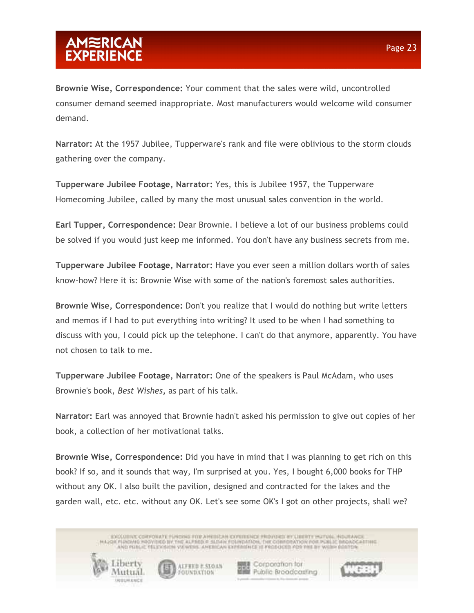**Brownie Wise, Correspondence:** Your comment that the sales were wild, uncontrolled consumer demand seemed inappropriate. Most manufacturers would welcome wild consumer demand.

**Narrator:** At the 1957 Jubilee, Tupperware's rank and file were oblivious to the storm clouds gathering over the company.

**Tupperware Jubilee Footage, Narrator:** Yes, this is Jubilee 1957, the Tupperware Homecoming Jubilee, called by many the most unusual sales convention in the world.

**Earl Tupper, Correspondence:** Dear Brownie. I believe a lot of our business problems could be solved if you would just keep me informed. You don't have any business secrets from me.

**Tupperware Jubilee Footage, Narrator:** Have you ever seen a million dollars worth of sales know-how? Here it is: Brownie Wise with some of the nation's foremost sales authorities.

**Brownie Wise, Correspondence:** Don't you realize that I would do nothing but write letters and memos if I had to put everything into writing? It used to be when I had something to discuss with you, I could pick up the telephone. I can't do that anymore, apparently. You have not chosen to talk to me.

**Tupperware Jubilee Footage, Narrator:** One of the speakers is Paul McAdam, who uses Brownie's book, *Best Wishes***,** as part of his talk.

**Narrator:** Earl was annoyed that Brownie hadn't asked his permission to give out copies of her book, a collection of her motivational talks.

**Brownie Wise, Correspondence:** Did you have in mind that I was planning to get rich on this book? If so, and it sounds that way, I'm surprised at you. Yes, I bought 6,000 books for THP without any OK. I also built the pavilion, designed and contracted for the lakes and the garden wall, etc. etc. without any OK. Let's see some OK's I got on other projects, shall we?

> ENCEDITIVE CORPONATE FUNDING FOR AMERICAN CONDITIONS FROVIDICE INCLUSION POLITICS, INSURANCE AND PUBLIC TELEVISION VALWERS. AMERICAN EXPERIENCE 12 PRODUCED PDR PHE BY WILDHI BOSTON

> > ALFRED E.SIX) UN

FOUNDATION

12191111

Viutual

**関連 Corporation for** 

**Hill Public Broodcosting**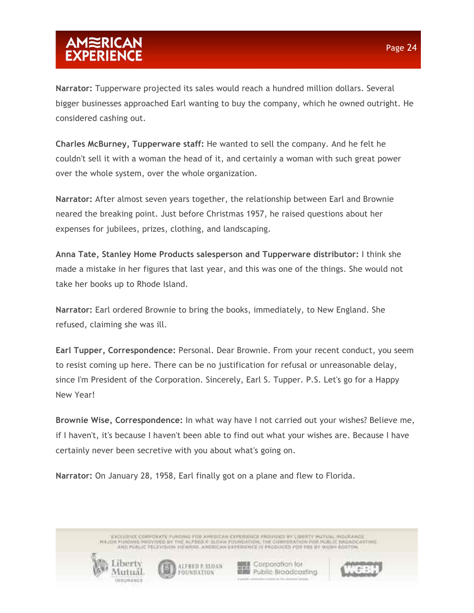**Narrator:** Tupperware projected its sales would reach a hundred million dollars. Several bigger businesses approached Earl wanting to buy the company, which he owned outright. He considered cashing out.

**Charles McBurney, Tupperware staff:** He wanted to sell the company. And he felt he couldn't sell it with a woman the head of it, and certainly a woman with such great power over the whole system, over the whole organization.

**Narrator:** After almost seven years together, the relationship between Earl and Brownie neared the breaking point. Just before Christmas 1957, he raised questions about her expenses for jubilees, prizes, clothing, and landscaping.

**Anna Tate, Stanley Home Products salesperson and Tupperware distributor:** I think she made a mistake in her figures that last year, and this was one of the things. She would not take her books up to Rhode Island.

**Narrator:** Earl ordered Brownie to bring the books, immediately, to New England. She refused, claiming she was ill.

**Earl Tupper, Correspondence:** Personal. Dear Brownie. From your recent conduct, you seem to resist coming up here. There can be no justification for refusal or unreasonable delay, since I'm President of the Corporation. Sincerely, Earl S. Tupper. P.S. Let's go for a Happy New Year!

**Brownie Wise, Correspondence:** In what way have I not carried out your wishes? Believe me, if I haven't, it's because I haven't been able to find out what your wishes are. Because I have certainly never been secretive with you about what's going on.

**Narrator:** On January 28, 1958, Earl finally got on a plane and flew to Florida.

ENCEDITIVE CORPONATE FUNDING FOR AMERICAN CONDITIONS FROVIDICE INCLUSION POLITICS, INSURANCE AND PUBLIC TELEVISION VALWERS. AMERICAN EXPERIENCE 12 PRODUCED PDR PHE BY WILDHI BOSTON



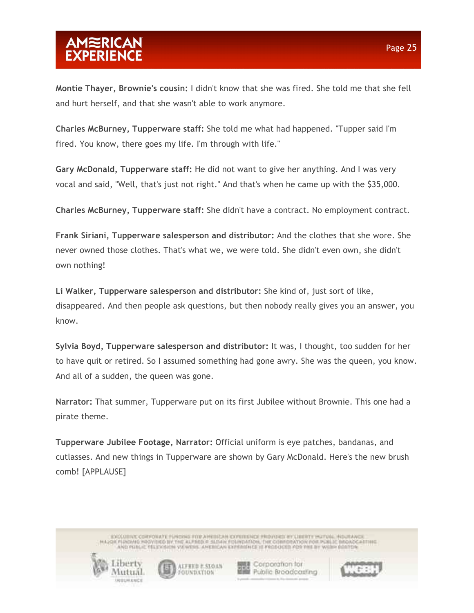# AMWRICAN<br>EXPERIENCE

**Montie Thayer, Brownie's cousin:** I didn't know that she was fired. She told me that she fell and hurt herself, and that she wasn't able to work anymore.

**Charles McBurney, Tupperware staff:** She told me what had happened. "Tupper said I'm fired. You know, there goes my life. I'm through with life."

**Gary McDonald, Tupperware staff:** He did not want to give her anything. And I was very vocal and said, "Well, that's just not right." And that's when he came up with the \$35,000.

**Charles McBurney, Tupperware staff:** She didn't have a contract. No employment contract.

**Frank Siriani, Tupperware salesperson and distributor:** And the clothes that she wore. She never owned those clothes. That's what we, we were told. She didn't even own, she didn't own nothing!

**Li Walker, Tupperware salesperson and distributor:** She kind of, just sort of like, disappeared. And then people ask questions, but then nobody really gives you an answer, you know.

**Sylvia Boyd, Tupperware salesperson and distributor:** It was, I thought, too sudden for her to have quit or retired. So I assumed something had gone awry. She was the queen, you know. And all of a sudden, the queen was gone.

**Narrator:** That summer, Tupperware put on its first Jubilee without Brownie. This one had a pirate theme.

**Tupperware Jubilee Footage, Narrator:** Official uniform is eye patches, bandanas, and cutlasses. And new things in Tupperware are shown by Gary McDonald. Here's the new brush comb! [APPLAUSE]

> ENCEDITIVE CORPONATE FUNDING FOR AMERICAN CONDITIONS FROVIDICE INCLUSION POLITICS, INSURANCE AND PUBLIC TELEVISION VA WENS, AMERICAN EXPERIENCE III PRODUCED FOR THE BY WARM BOSTON





■ Corporation for **Mills** Public Broadcasting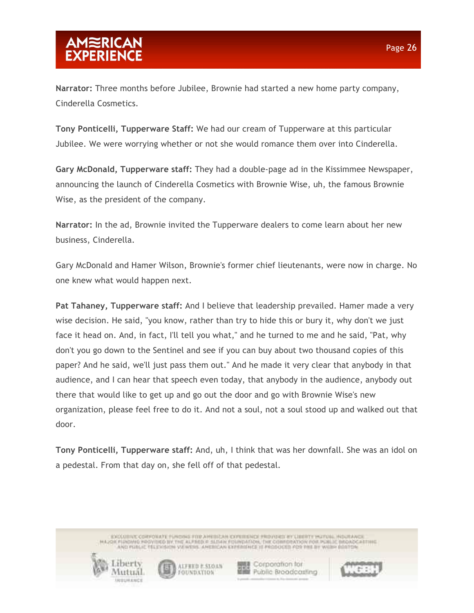**Narrator:** Three months before Jubilee, Brownie had started a new home party company, Cinderella Cosmetics.

**Tony Ponticelli, Tupperware Staff:** We had our cream of Tupperware at this particular Jubilee. We were worrying whether or not she would romance them over into Cinderella.

**Gary McDonald, Tupperware staff:** They had a double-page ad in the Kissimmee Newspaper, announcing the launch of Cinderella Cosmetics with Brownie Wise, uh, the famous Brownie Wise, as the president of the company.

**Narrator:** In the ad, Brownie invited the Tupperware dealers to come learn about her new business, Cinderella.

Gary McDonald and Hamer Wilson, Brownie's former chief lieutenants, were now in charge. No one knew what would happen next.

**Pat Tahaney, Tupperware staff:** And I believe that leadership prevailed. Hamer made a very wise decision. He said, "you know, rather than try to hide this or bury it, why don't we just face it head on. And, in fact, I'll tell you what," and he turned to me and he said, "Pat, why don't you go down to the Sentinel and see if you can buy about two thousand copies of this paper? And he said, we'll just pass them out." And he made it very clear that anybody in that audience, and I can hear that speech even today, that anybody in the audience, anybody out there that would like to get up and go out the door and go with Brownie Wise's new organization, please feel free to do it. And not a soul, not a soul stood up and walked out that door.

**Tony Ponticelli, Tupperware staff:** And, uh, I think that was her downfall. She was an idol on a pedestal. From that day on, she fell off of that pedestal.

> ENCEDITIVE CORPONATE FUNDING FOR AMERICAN CONDITIONS FROVIDICE INCLUSION POLITICS, INSURANCE AND PUBLIC TELEVISION VALWERS. AMERICAN EXPERIENCE 12 PRODUCED PDR PHE BY WILDHI BOSTON



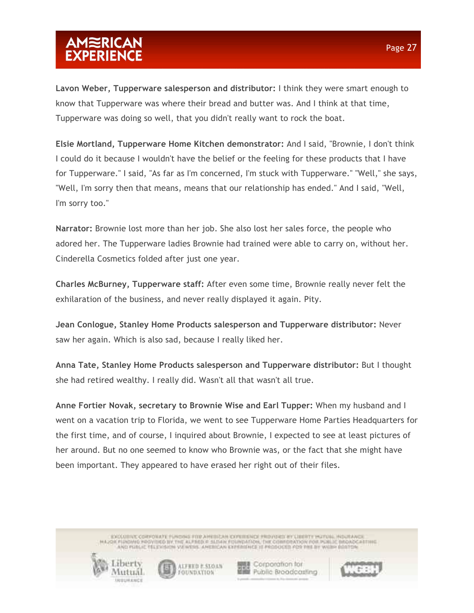**Lavon Weber, Tupperware salesperson and distributor:** I think they were smart enough to know that Tupperware was where their bread and butter was. And I think at that time, Tupperware was doing so well, that you didn't really want to rock the boat.

**Elsie Mortland, Tupperware Home Kitchen demonstrator:** And I said, "Brownie, I don't think I could do it because I wouldn't have the belief or the feeling for these products that I have for Tupperware." I said, "As far as I'm concerned, I'm stuck with Tupperware." "Well," she says, "Well, I'm sorry then that means, means that our relationship has ended." And I said, "Well, I'm sorry too."

**Narrator:** Brownie lost more than her job. She also lost her sales force, the people who adored her. The Tupperware ladies Brownie had trained were able to carry on, without her. Cinderella Cosmetics folded after just one year.

**Charles McBurney, Tupperware staff:** After even some time, Brownie really never felt the exhilaration of the business, and never really displayed it again. Pity.

**Jean Conlogue, Stanley Home Products salesperson and Tupperware distributor:** Never saw her again. Which is also sad, because I really liked her.

**Anna Tate, Stanley Home Products salesperson and Tupperware distributor:** But I thought she had retired wealthy. I really did. Wasn't all that wasn't all true.

**Anne Fortier Novak, secretary to Brownie Wise and Earl Tupper:** When my husband and I went on a vacation trip to Florida, we went to see Tupperware Home Parties Headquarters for the first time, and of course, I inquired about Brownie, I expected to see at least pictures of her around. But no one seemed to know who Brownie was, or the fact that she might have been important. They appeared to have erased her right out of their files.

> ENCEDITIVE CORPONATE FUNDING FOR AMERICAN CONDITIONS FROVIDICE INCLUSION POLITICS, INSURANCE AND PUBLIC TELEVISION VALWERS. AMERICAN EXPERIENCE 12 PRODUCED PDR PHE BY WILDHI BOSTON



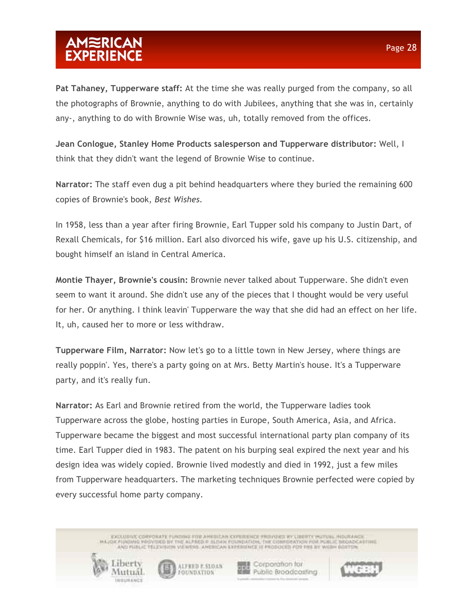**Pat Tahaney, Tupperware staff:** At the time she was really purged from the company, so all the photographs of Brownie, anything to do with Jubilees, anything that she was in, certainly any-, anything to do with Brownie Wise was, uh, totally removed from the offices.

**Jean Conlogue, Stanley Home Products salesperson and Tupperware distributor:** Well, I think that they didn't want the legend of Brownie Wise to continue.

**Narrator:** The staff even dug a pit behind headquarters where they buried the remaining 600 copies of Brownie's book, *Best Wishes.*

In 1958, less than a year after firing Brownie, Earl Tupper sold his company to Justin Dart, of Rexall Chemicals, for \$16 million. Earl also divorced his wife, gave up his U.S. citizenship, and bought himself an island in Central America.

**Montie Thayer, Brownie's cousin:** Brownie never talked about Tupperware. She didn't even seem to want it around. She didn't use any of the pieces that I thought would be very useful for her. Or anything. I think leavin' Tupperware the way that she did had an effect on her life. It, uh, caused her to more or less withdraw.

**Tupperware Film, Narrator:** Now let's go to a little town in New Jersey, where things are really poppin'. Yes, there's a party going on at Mrs. Betty Martin's house. It's a Tupperware party, and it's really fun.

**Narrator:** As Earl and Brownie retired from the world, the Tupperware ladies took Tupperware across the globe, hosting parties in Europe, South America, Asia, and Africa. Tupperware became the biggest and most successful international party plan company of its time. Earl Tupper died in 1983. The patent on his burping seal expired the next year and his design idea was widely copied. Brownie lived modestly and died in 1992, just a few miles from Tupperware headquarters. The marketing techniques Brownie perfected were copied by every successful home party company.

> ENCEDITIVE CORPONATE FUNDING FOR AMERICAN CONDITIONS FROVIDICE INCLUSION POLITICS, INSURANCE AND PUBLIC TELEVISION VALWERS. AMERICAN EXPERIENCE 12 PRODUCED PDR PHE BY WILDHI BOSTON